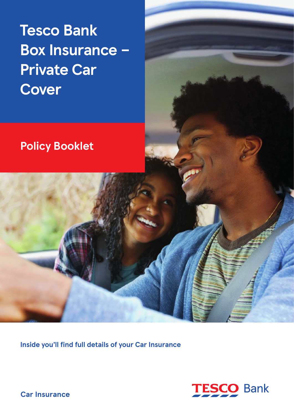# **Tesco Bank Box Insurance – Private Car Cover**

# **Policy Booklet**

**Inside you'll find full details of your Car Insurance**



**Car Insurance**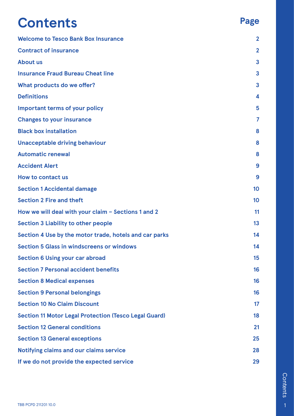# **Contents**

# **[Welcome to Tesco Bank Box Insurance](#page-2-0) 2 [Contract of insurance](#page-2-0) 2 [About us](#page-3-0) 3 [Insurance Fraud Bureau Cheat line](#page-3-0) 3 [What products do we offer?](#page-3-0) 3 [Definitions](#page-4-0) 4 [Important terms of your policy](#page-5-0) 5 [Changes to your insurance](#page-7-0) 7 [Black box installation](#page-8-0) 8 [Unacceptable driving behaviour](#page-8-0) 8 [Automatic renewal](#page-8-0) 8 [Accident Alert](#page-9-0) 9 [How to contact us](#page-9-0) 9 [Section 1 Accidental damage](#page-10-0) 10 [Section 2 Fire and theft](#page-10-0) 10 [How we will deal with your claim – Sections 1 and 2](#page-11-0) 11 [Section 3 Liability to other people](#page-13-0) 13 [Section 4 Use by the motor trade, hotels and car parks](#page-14-0) 14 [Section 5 Glass in windscreens or windows 14](#page-14-0) [Section 6 Using your car abroad](#page-15-0) 15 [Section 7 Personal accident benefits](#page-16-0) 16 [Section 8 Medical expenses](#page-16-0) 16 [Section 9 Personal belongings](#page-16-0) 16 [Section 10 No Claim Discount](#page-17-0) 17 [Section 11 Motor Legal Protection \(Tesco Legal Guard\)](#page-18-0) 18 [Section 12 General conditions](#page-21-0) 21 [Section 13 General exceptions](#page-25-0) 25 [Notifying claims and our claims service](#page-28-0) 28 [If we do not provide the expected service](#page-29-0) 29**

**Page**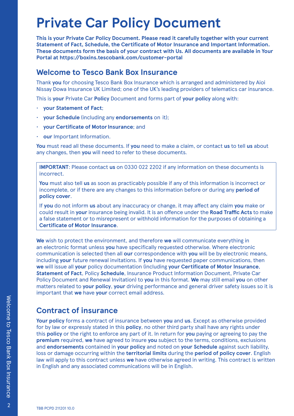# <span id="page-2-0"></span>**Private Car Policy Document**

**This is your Private Car Policy Document. Please read it carefully together with your current Statement of Fact, Schedule, the Certificate of Motor Insurance and Important Information. These documents form the basis of your contract with Us. All documents are available in Your Portal at https://boxins.tescobank.com/customer-portal**

### **Welcome to Tesco Bank Box Insurance**

Thank **you** for choosing Tesco Bank Box Insurance which is arranged and administered by Aioi Nissay Dowa Insurance UK Limited; one of the UK's leading providers of telematics car insurance.

This is **your** Private Car **Policy** Document and forms part of **your policy** along with:

- **your Statement of Fact**;
- **your Schedule** (including any **endorsements** on it);
- **your Certificate of Motor Insurance**; and
- **our** Important Information.

**You** must read all these documents. If **you** need to make a claim, or contact **us** to tell **us** about any changes, then **you** will need to refer to these documents.

**IMPORTANT**: Please contact **us** on 0330 022 2202 if any information on these documents is incorrect.

**You** must also tell **us** as soon as practicably possible if any of this information is incorrect or incomplete, or if there are any changes to this information before or during any **period of policy cover**.

If **you** do not inform **us** about any inaccuracy or change, it may affect any claim **you** make or could result in **your** insurance being invalid. It is an offence under the **Road Traffic Acts** to make a false statement or to misrepresent or withhold information for the purposes of obtaining a **Certificate of Motor Insurance**.

**We** wish to protect the environment, and therefore **we** will communicate everything in an electronic format unless **you** have specifically requested otherwise. Where electronic communication is selected then all **our** correspondence with **you** will be by electronic means, including **your** future renewal invitations. If **you** have requested paper communications, then **we** will issue all **your** policy documentation (including **your Certificate of Motor Insurance**, **Statement of Fact**, Policy **Schedule**, Insurance Product Information Document, Private Car Policy Document and Renewal Invitation) to **you** in this format. **We** may still email **you** on other matters related to **your policy**, **your** driving performance and general driver safety issues so it is important that **we** have **your** correct email address.

# **Contract of insurance**

**Your policy** forms a contract of insurance between **you** and **us**. Except as otherwise provided for by law or expressly stated in this **policy**, no other third party shall have any rights under this **policy** or the right to enforce any part of it. In return for **you** paying or agreeing to pay the **premium** required, **we** have agreed to insure **you** subject to the terms, conditions, exclusions and **endorsements** contained in **your policy** and noted on **your Schedule** against such liability, loss or damage occurring within the **territorial limits** during the **period of policy cover**. English law will apply to this contract unless **we** have otherwise agreed in writing. This contract is written in English and any associated communications will be in English.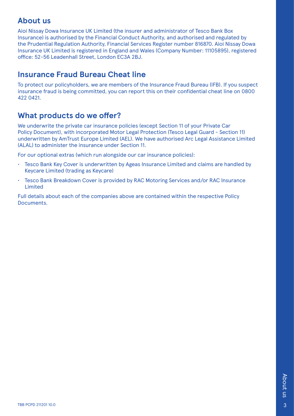### <span id="page-3-0"></span>**About us**

Aioi Nissay Dowa Insurance UK Limited (the insurer and administrator of Tesco Bank Box Insurance) is authorised by the Financial Conduct Authority, and authorised and regulated by the Prudential Regulation Authority, Financial Services Register number 816870. Aioi Nissay Dowa Insurance UK Limited is registered in England and Wales (Company Number: 11105895), registered office: 52-56 Leadenhall Street, London EC3A 2BJ.

## **Insurance Fraud Bureau Cheat line**

To protect our policyholders, we are members of the Insurance Fraud Bureau (IFB). If you suspect insurance fraud is being committed, you can report this on their confidential cheat line on 0800 422 0421.

# **What products do we offer?**

We underwrite the private car insurance policies (except Section 11 of your Private Car Policy Document), with incorporated Motor Legal Protection (Tesco Legal Guard - Section 11) underwritten by AmTrust Europe Limited (AEL). We have authorised Arc Legal Assistance Limited (ALAL) to administer the insurance under Section 11.

For our optional extras (which run alongside our car insurance policies):

- Tesco Bank Key Cover is underwritten by Ageas Insurance Limited and claims are handled by Keycare Limited (trading as Keycare)
- Tesco Bank Breakdown Cover is provided by RAC Motoring Services and/or RAC Insurance Limited

Full details about each of the companies above are contained within the respective Policy Documents.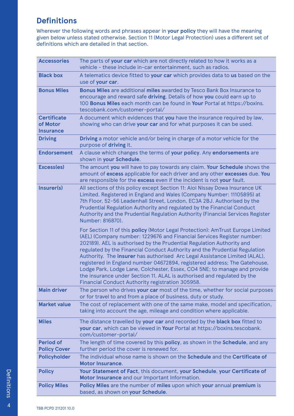# <span id="page-4-0"></span>**Definitions**

Wherever the following words and phrases appear in **your policy** they will have the meaning given below unless stated otherwise. Section 11 (Motor Legal Protection) uses a different set of definitions which are detailed in that section.

| <b>Accessories</b>                                 | The parts of your car which are not directly related to how it works as a<br>vehicle - these include in-car entertainment, such as radios.                                                                                                                                                                                                                                                                                                                                                                                                                                                                                                                                             |
|----------------------------------------------------|----------------------------------------------------------------------------------------------------------------------------------------------------------------------------------------------------------------------------------------------------------------------------------------------------------------------------------------------------------------------------------------------------------------------------------------------------------------------------------------------------------------------------------------------------------------------------------------------------------------------------------------------------------------------------------------|
| <b>Black box</b>                                   | A telematics device fitted to your car which provides data to us based on the<br>use of your car.                                                                                                                                                                                                                                                                                                                                                                                                                                                                                                                                                                                      |
| <b>Bonus Miles</b>                                 | Bonus Miles are additional miles awarded by Tesco Bank Box Insurance to<br>encourage and reward safe driving. Details of how you could earn up to<br>100 Bonus Miles each month can be found in Your Portal at https://boxins.<br>tescobank.com/customer-portal/                                                                                                                                                                                                                                                                                                                                                                                                                       |
| <b>Certificate</b><br>of Motor<br><b>Insurance</b> | A document which evidences that you have the insurance required by law,<br>showing who can drive your car and for what purposes it can be used.                                                                                                                                                                                                                                                                                                                                                                                                                                                                                                                                        |
| <b>Driving</b>                                     | <b>Driving</b> a motor vehicle and/or being in charge of a motor vehicle for the<br>purpose of driving it.                                                                                                                                                                                                                                                                                                                                                                                                                                                                                                                                                                             |
| <b>Endorsement</b>                                 | A clause which changes the terms of your policy. Any endorsements are<br>shown in your Schedule.                                                                                                                                                                                                                                                                                                                                                                                                                                                                                                                                                                                       |
| Excess(es)                                         | The amount you will have to pay towards any claim. Your Schedule shows the<br>amount of excess applicable for each driver and any other excesses due. You<br>are responsible for the excess even if the incident is not your fault.                                                                                                                                                                                                                                                                                                                                                                                                                                                    |
| Insurer(s)                                         | All sections of this policy except Section 11: Aioi Nissay Dowa Insurance UK<br>Limited. Registered in England and Wales (Company Number: 11105895) at<br>7th Floor, 52-56 Leadenhall Street, London, EC3A 2BJ. Authorised by the<br>Prudential Regulation Authority and regulated by the Financial Conduct<br>Authority and the Prudential Regulation Authority (Financial Services Register<br>Number: 816870).                                                                                                                                                                                                                                                                      |
|                                                    | For Section 11 of this policy (Motor Legal Protection): AmTrust Europe Limited<br>(AEL) (Company number: 1229676 and Financial Services Register number:<br>202189). AEL is authorised by the Prudential Regulation Authority and<br>regulated by the Financial Conduct Authority and the Prudential Regulation<br>Authority. The insurer has authorised Arc Legal Assistance Limited (ALAL),<br>registered in England number 04672894, registered address; The Gatehouse,<br>Lodge Park, Lodge Lane, Colchester, Essex, CO4 5NE; to manage and provide<br>the insurance under Section 11. ALAL is authorised and regulated by the<br>Financial Conduct Authority registration 305958. |
| <b>Main driver</b>                                 | The person who drives your car most of the time, whether for social purposes<br>or for travel to and from a place of business, duty or study.                                                                                                                                                                                                                                                                                                                                                                                                                                                                                                                                          |
| <b>Market value</b>                                | The cost of replacement with one of the same make, model and specification,<br>taking into account the age, mileage and condition where applicable.                                                                                                                                                                                                                                                                                                                                                                                                                                                                                                                                    |
| <b>Miles</b>                                       | The distance travelled by your car and recorded by the black box fitted to<br>your car, which can be viewed in Your Portal at https://boxins.tescobank.<br>com/customer-portal/                                                                                                                                                                                                                                                                                                                                                                                                                                                                                                        |
| <b>Period of</b><br><b>Policy Cover</b>            | The length of time covered by this policy, as shown in the Schedule, and any<br>further period the cover is renewed for.                                                                                                                                                                                                                                                                                                                                                                                                                                                                                                                                                               |
| <b>Policyholder</b>                                | The individual whose name is shown on the <b>Schedule</b> and the <b>Certificate of</b><br><b>Motor Insurance.</b>                                                                                                                                                                                                                                                                                                                                                                                                                                                                                                                                                                     |
| <b>Policy</b>                                      | Your Statement of Fact, this document, your Schedule, your Certificate of<br>Motor Insurance and our Important Information.                                                                                                                                                                                                                                                                                                                                                                                                                                                                                                                                                            |
| <b>Policy Miles</b>                                | Policy Miles are the number of miles upon which your annual premium is<br>based, as shown on your Schedule.                                                                                                                                                                                                                                                                                                                                                                                                                                                                                                                                                                            |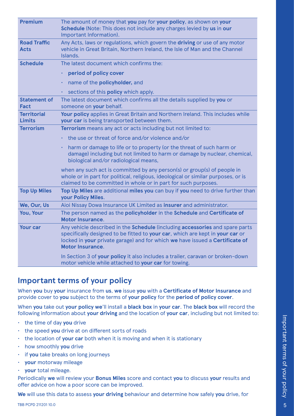<span id="page-5-0"></span>

| <b>Premium</b>                      | The amount of money that you pay for your policy, as shown on your<br>Schedule (Note: This does not include any charges levied by us in our<br>Important Information).                                                                                                   |
|-------------------------------------|--------------------------------------------------------------------------------------------------------------------------------------------------------------------------------------------------------------------------------------------------------------------------|
| <b>Road Traffic</b><br><b>Acts</b>  | Any Acts, laws or regulations, which govern the driving or use of any motor<br>vehicle in Great Britain, Northern Ireland, the Isle of Man and the Channel<br>Islands.                                                                                                   |
| <b>Schedule</b>                     | The latest document which confirms the:                                                                                                                                                                                                                                  |
|                                     | period of policy cover                                                                                                                                                                                                                                                   |
|                                     | name of the <b>policyholder</b> , and                                                                                                                                                                                                                                    |
|                                     | sections of this policy which apply.<br>$\bullet$                                                                                                                                                                                                                        |
| <b>Statement of</b><br><b>Fact</b>  | The latest document which confirms all the details supplied by you or<br>someone on your behalf.                                                                                                                                                                         |
| <b>Territorial</b><br><b>Limits</b> | Your policy applies in Great Britain and Northern Ireland. This includes while<br>your car is being transported between them.                                                                                                                                            |
| <b>Terrorism</b>                    | Terrorism means any act or acts including but not limited to:                                                                                                                                                                                                            |
|                                     | the use or threat of force and/or violence and/or                                                                                                                                                                                                                        |
|                                     | harm or damage to life or to property (or the threat of such harm or<br>damage) including but not limited to harm or damage by nuclear, chemical,<br>biological and/or radiological means,                                                                               |
|                                     | when any such act is committed by any person(s) or group(s) of people in<br>whole or in part for political, religious, ideological or similar purposes, or is<br>claimed to be committed in whole or in part for such purposes.                                          |
| <b>Top Up Miles</b>                 | Top Up Miles are additional miles you can buy if you need to drive further than<br>your Policy Miles.                                                                                                                                                                    |
| We, Our, Us                         | Aioi Nissay Dowa Insurance UK Limited as insurer and administrator.                                                                                                                                                                                                      |
| You, Your                           | The person named as the policyholder in the Schedule and Certificate of<br><b>Motor Insurance.</b>                                                                                                                                                                       |
| <b>Your car</b>                     | Any vehicle described in the Schedule (including accessories and spare parts<br>specifically designed to be fitted to your car, which are kept in your car or<br>locked in your private garage) and for which we have issued a Certificate of<br><b>Motor Insurance.</b> |
|                                     | In Section 3 of your policy it also includes a trailer, caravan or broken-down<br>motor vehicle while attached to your car for towing.                                                                                                                                   |

# **Important terms of your policy**

When **you** buy **your** insurance from **us**, **we** issue **you** with a **Certificate of Motor Insurance** and provide cover to **you** subject to the terms of **your policy** for the **period of policy cover**.

When **you** take out **your policy we**'ll install a **black box** in **your car**. The **black box** will record the following information about **your driving** and the location of **your car**, including but not limited to:

- the time of day **you** drive
- the speed **you** drive at on different sorts of roads
- the location of **your car** both when it is moving and when it is stationary
- how smoothly **you** drive
- if **you** take breaks on long journeys
- **your** motorway mileage
- **your** total mileage.

Periodically **we** will review your **Bonus Miles** score and contact **you** to discuss **your** results and offer advice on how a poor score can be improved.

**We** will use this data to assess **your driving** behaviour and determine how safely **you** drive, for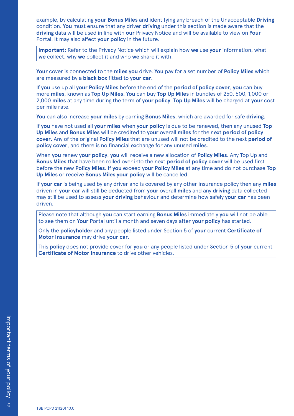example, by calculating **your Bonus Miles** and identifying any breach of the Unacceptable **Driving** condition. **You** must ensure that any driver **driving** under this section is made aware that the **driving** data will be used in line with **our** Privacy Notice and will be available to view on **Your** Portal. It may also affect **your policy** in the future.

**Important:** Refer to the Privacy Notice which will explain how **we** use **your** information, what **we** collect, why **we** collect it and who **we** share it with.

**Your** cover is connected to the **miles you** drive. **You** pay for a set number of **Policy Miles** which are measured by a **black box** fitted to **your car**.

If **you** use up all **your Policy Miles** before the end of the **period of policy cover**, **you** can buy more **miles**, known as **Top Up Miles**. **You** can buy **Top Up Miles** in bundles of 250, 500, 1,000 or 2,000 **miles** at any time during the term of **your policy**. **Top Up Miles** will be charged at **your** cost per mile rate.

**You** can also increase **your miles** by earning **Bonus Miles**, which are awarded for safe **driving**.

If **you** have not used all **your miles** when **your policy** is due to be renewed, then any unused **Top Up Miles** and **Bonus Miles** will be credited to **your** overall **miles** for the next **period of policy cover**. Any of the original **Policy Miles** that are unused will not be credited to the next **period of policy cover**, and there is no financial exchange for any unused **miles**.

When **you** renew **your policy**, **you** will receive a new allocation of **Policy Miles**. Any Top Up and **Bonus Miles** that have been rolled over into the next **period of policy cover** will be used first before the new **Policy Miles**. If **you** exceed **your Policy Miles** at any time and do not purchase **Top Up Miles** or receive **Bonus Miles your policy** will be cancelled.

If **your car** is being used by any driver and is covered by any other insurance policy then any **miles** driven in **your car** will still be deducted from **your** overall **miles** and any **driving** data collected may still be used to assess **your driving** behaviour and determine how safely **your car** has been driven.

Please note that although **you** can start earning **Bonus Miles** immediately **you** will not be able to see them on **Your** Portal until a month and seven days after **your policy** has started.

Only the **policyholder** and any people listed under Section 5 of **your** current **Certificate of Motor Insurance** may drive **your car**.

This **policy** does not provide cover for **you** or any people listed under Section 5 of **your** current **Certificate of Motor Insurance** to drive other vehicles.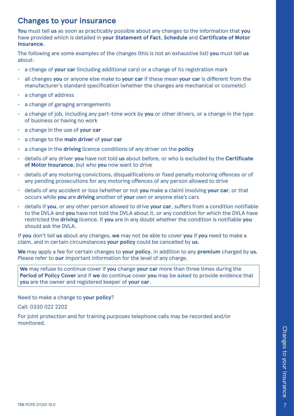## <span id="page-7-0"></span>**Changes to your insurance**

**You** must tell **us** as soon as practicably possible about any changes to the information that **you** have provided which is detailed in **your Statement of Fact**, **Schedule** and **Certificate of Motor Insurance**.

The following are some examples of the changes (this is not an exhaustive list) **you** must tell **us** about:

- a change of **your car** (including additional cars) or a change of its registration mark
- all changes **you** or anyone else make to **your car** if these mean **your car** is different from the manufacturer's standard specification (whether the changes are mechanical or cosmetic)
- a change of address
- a change of garaging arrangements
- a change of job, including any part-time work by **you** or other drivers, or a change in the type of business or having no work
- a change in the use of **your car**
- a change to the **main driver** of **your car**
- a change in the **driving** licence conditions of any driver on the **policy**
- details of any driver **you** have not told **us** about before, or who is excluded by the **Certificate of Motor Insurance**, but who **you** now want to drive
- details of any motoring convictions, disqualifications or fixed penalty motoring offences or of any pending prosecutions for any motoring offences of any person allowed to drive
- details of any accident or loss (whether or not **you** make a claim) involving **your car**, or that occurs while **you** are **driving** another of **your** own or anyone else's cars
- details if **you**, or any other person allowed to drive **your car**, suffers from a condition notifiable to the DVLA and **you** have not told the DVLA about it, or any condition for which the DVLA have restricted the **driving** licence. If **you** are in any doubt whether the condition is notifiable **you** should ask the DVLA.

If **you** don't tell **us** about any changes, **we** may not be able to cover **you** if **you** need to make a claim, and in certain circumstances **your policy** could be cancelled by **us**.

**We** may apply a fee for certain changes to **your policy**, in addition to any **premium** charged by **us.** Please refer to **our** Important Information for the level of any charge.

**We** may refuse to continue cover if **you** change **your car** more than three times during the **Period of Policy Cover** and if **we** do continue cover **you** may be asked to provide evidence that **you** are the owner and registered keeper of **your car**.

Need to make a change to **your policy**?

Call: 0330 022 2202

For joint protection and for training purposes telephone calls may be recorded and/or monitored.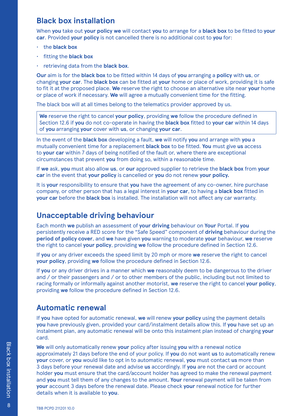### <span id="page-8-0"></span>**Black box installation**

When **you** take out **your policy we** will contact **you** to arrange for a **black box** to be fitted to **your car**. Provided **your policy** is not cancelled there is no additional cost to **you** for:

- the **black box**
- fitting the **black box**
- retrieving data from the **black box**.

**Our** aim is for the **black box** to be fitted within 14 days of **you** arranging a **policy** with **us**, or changing **your car**. The **black box** can be fitted at **your** home or place of work, providing it is safe to fit it at the proposed place. **We** reserve the right to choose an alternative site near **your** home or place of work if necessary. **We** will agree a mutually convenient time for the fitting.

The black box will at all times belong to the telematics provider approved by us.

**We** reserve the right to cancel **your policy**, providing **we** follow the procedure defined in Section 12.6 if **you** do not co-operate in having the **black box** fitted to **your car** within 14 days of **you** arranging **your** cover with **us**, or changing **your car**.

In the event of the **black box** developing a fault, **we** will notify **you** and arrange with **you** a mutually convenient time for a replacement **black box** to be fitted. **You** must give **us** access to **your car** within 7 days of being notified of the fault or, where there are exceptional circumstances that prevent **you** from doing so, within a reasonable time.

If **we** ask, **you** must also allow **us**, or **our** approved supplier to retrieve the **black box** from **your car** in the event that **your policy** is cancelled or **you** do not renew **your policy.**

It is **your** responsibility to ensure that **you** have the agreement of any co-owner, hire purchase company, or other person that has a legal interest in **your car**, to having a **black box** fitted in **your car** before the **black box** is installed. The installation will not affect any car warranty.

### **Unacceptable driving behaviour**

Each month **we** publish an assessment of **your driving** behaviour on **Your** Portal. If **you** persistently receive a RED score for the "Safe Speed" component of **driving** behaviour during the **period of policy cover**, and **we** have given **you** warning to moderate **your** behaviour, **we** reserve the right to cancel **your policy**, providing **we** follow the procedure defined in Section 12.6.

If **you** or any driver exceeds the speed limit by 20 mph or more **we** reserve the right to cancel **your policy**, providing **we** follow the procedure defined in Section 12.6.

If **you** or any driver drives in a manner which **we** reasonably deem to be dangerous to the driver and / or their passengers and / or to other members of the public, including but not limited to racing formally or informally against another motorist, **we** reserve the right to cancel **your policy**, providing **we** follow the procedure defined in Section 12.6.

### **Automatic renewal**

If **you** have opted for automatic renewal, **we** will renew **your policy** using the payment details **you** have previously given, provided your card/instalment details allow this. If **you** have set up an instalment plan, any automatic renewal will be onto this instalment plan instead of charging **your** card.

**We** will only automatically renew **your** policy after issuing **you** with a renewal notice approximately 21 days before the end of your policy. If **you** do not want **us** to automatically renew **your** cover, or **you** would like to opt in to automatic renewal, **you** must contact **us** more than 3 days before your renewal date and advise **us** accordingly. If **you** are not the card or account holder **you** must ensure that the card/account holder has agreed to make the renewal payment and **you** must tell them of any changes to the amount. **Your** renewal payment will be taken from **your** account 3 days before the renewal date. Please check **your** renewal notice for further details when it is available to **you**.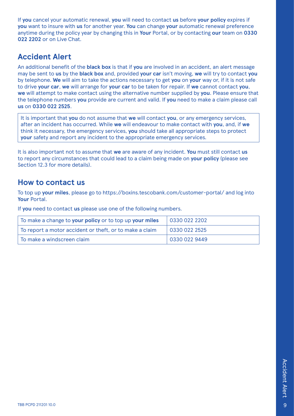<span id="page-9-0"></span>If **you** cancel your automatic renewal, **you** will need to contact **us** before **your policy** expires if **you** want to insure with **us** for another year. **You** can change **your** automatic renewal preference anytime during the policy year by changing this in **Your** Portal, or by contacting **our** team on **0330 022 2202** or on Live Chat.

# **Accident Alert**

An additional benefit of the **black box** is that if **you** are involved in an accident, an alert message may be sent to **us** by the **black box** and, provided **your car** isn't moving, **we** will try to contact **you** by telephone. **We** will aim to take the actions necessary to get **you** on **your** way or, if it is not safe to drive **your car**, **we** will arrange for **your car** to be taken for repair. If **we** cannot contact **you**, **we** will attempt to make contact using the alternative number supplied by **you**. Please ensure that the telephone numbers **you** provide are current and valid. If **you** need to make a claim please call **us** on **0330 022 2525**.

It is important that **you** do not assume that **we** will contact **you**, or any emergency services, after an incident has occurred. While **we** will endeavour to make contact with **you**, and, if **we** think it necessary, the emergency services, **you** should take all appropriate steps to protect **your** safety and report any incident to the appropriate emergency services.

It is also important not to assume that **we** are aware of any incident. **You** must still contact **us** to report any circumstances that could lead to a claim being made on **your policy** (please see Section 12.3 for more details).

### **How to contact us**

To top up **your miles**, please go to https://boxins.tescobank.com/customer-portal/ and log into **Your** Portal.

If **you** need to contact **us** please use one of the following numbers.

| To make a change to your policy or to top up your miles                  | 0330 022 2202 |
|--------------------------------------------------------------------------|---------------|
| To report a motor accident or theft, or to make a claim                  | 0330 022 2525 |
| $\mathrel{\mathsf{I}}$ To make a windscreen claim $\mathrel{\mathsf{I}}$ | 0330 022 9449 |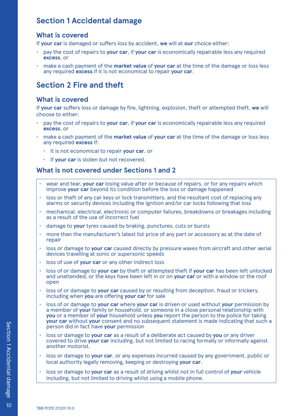# <span id="page-10-0"></span>**Section 1 Accidental damage**

### **What is covered**

If **your car** is damaged or suffers loss by accident, **we** will at **our** choice either:

- pay the cost of repairs to **your car**, if **your car** is economically repairable less any required **excess**, or
- make a cash payment of the **market value** of **your car** at the time of the damage or loss less any required **excess** if it is not economical to repair **your car**.

# **Section 2 Fire and theft**

#### **What is covered**

If **your car** suffers loss or damage by fire, lightning, explosion, theft or attempted theft, **we** will choose to either:

- pay the cost of repairs to **your car**, if **your car** is economically repairable less any required **excess**, or
- make a cash payment of the **market value** of **your car** at the time of the damage or loss less any required **excess** if:
	- it is not economical to repair **your car**, or
	- if your car is stolen but not recovered.

#### **What is not covered under Sections 1 and 2**

- wear and tear, **your car** losing value after or because of repairs, or for any repairs which improve **your car** beyond its condition before the loss or damage happened
- loss or theft of any car keys or lock transmitters, and the resultant cost of replacing any alarms or security devices including the ignition and/or car locks following that loss
- mechanical, electrical, electronic or computer failures, breakdowns or breakages including as a result of the use of incorrect fuel
- damage to **your** tyres caused by braking, punctures, cuts or bursts
- more than the manufacturer's latest list price of any part or accessory as at the date of repair
- loss or damage to your car caused directly by pressure waves from aircraft and other aerial devices travelling at sonic or supersonic speeds
- loss of use of **your car** or any other indirect loss
- loss of or damage to **your car** by theft or attempted theft if **your car** has been left unlocked and unattended, or the keys have been left in or on **your car** or with a window or the roof open
- loss of or damage to **your car** caused by or resulting from deception, fraud or trickery, including when **you** are offering **your car** for sale
- loss of or damage to **your car** where **your car** is driven or used without **your** permission by a member of **your** family or household, or someone in a close personal relationship with **you** or a member of **your** household unless **you** report the person to the police for taking **your car** without **your** consent and no subsequent statement is made indicating that such a person did in fact have **your** permission
- loss or damage to **your car** as a result of a deliberate act caused by **you** or any driver covered to drive **your car** including, but not limited to racing formally or informally against another motorist.
- loss or damage to **your car**, or any expenses incurred caused by any government, public or local authority legally removing, keeping or destroying **your car**.
- loss or damage to **your car** as a result of driving whilst not in full control of **your** vehicle including, but not limited to driving whilst using a mobile phone.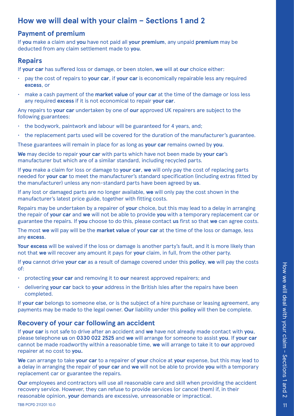# <span id="page-11-0"></span>**How we will deal with your claim – Sections 1 and 2**

### **Payment of premium**

If **you** make a claim and **you** have not paid all **your premium**, any unpaid **premium** may be deducted from any claim settlement made to **you**.

#### **Repairs**

If **your car** has suffered loss or damage, or been stolen, **we** will at **our** choice either:

- pay the cost of repairs to **your car**, if **your car** is economically repairable less any required **excess**, or
- make a cash payment of the **market value** of **your car** at the time of the damage or loss less any required **excess** if it is not economical to repair **your car**.

Any repairs to **your car** undertaken by one of **our** approved UK repairers are subject to the following guarantees:

- $\cdot$  the bodywork, paintwork and labour will be guaranteed for 4 years, and;
- the replacement parts used will be covered for the duration of the manufacturer's guarantee.

These guarantees will remain in place for as long as **your car** remains owned by **you**.

**We** may decide to repair **your car** with parts which have not been made by **your car**'s manufacturer but which are of a similar standard, including recycled parts.

If **you** make a claim for loss or damage to **your car**, **we** will only pay the cost of replacing parts needed for **your car** to meet the manufacturer's standard specification (including extras fitted by the manufacturer) unless any non-standard parts have been agreed by **us**.

If any lost or damaged parts are no longer available, **we** will only pay the cost shown in the manufacturer's latest price guide, together with fitting costs.

Repairs may be undertaken by a repairer of **your** choice, but this may lead to a delay in arranging the repair of **your car** and **we** will not be able to provide **you** with a temporary replacement car or guarantee the repairs. If **you** choose to do this, please contact **us** first so that **we** can agree costs.

The most **we** will pay will be the **market value** of **your car** at the time of the loss or damage, less any **excess**.

**Your excess** will be waived if the loss or damage is another party's fault, and it is more likely than not that **we** will recover any amount it pays for **your** claim, in full, from the other party.

If **you** cannot drive **your car** as a result of damage covered under this **policy**, **we** will pay the costs of:

- protecting **your car** and removing it to **our** nearest approved repairers; and
- delivering **your car** back to **your** address in the British Isles after the repairs have been completed.

If **your car** belongs to someone else, or is the subject of a hire purchase or leasing agreement, any payments may be made to the legal owner. **Our** liability under this **policy** will then be complete.

### **Recovery of your car following an accident**

If **your car** is not safe to drive after an accident and **we** have not already made contact with **you**, please telephone **us** on **0330 022 2525** and **we** will arrange for someone to assist **you**. If **your car** cannot be made roadworthy within a reasonable time, **we** will arrange to take it to **our** approved repairer at no cost to **you.**

**We** can arrange to take **your car** to a repairer of **your** choice at **your** expense, but this may lead to a delay in arranging the repair of **your car** and **we** will not be able to provide **you** with a temporary replacement car or guarantee the repairs.

**Our** employees and contractors will use all reasonable care and skill when providing the accident recovery service. However, they can refuse to provide services (or cancel them) if, in their reasonable opinion, **your** demands are excessive, unreasonable or impractical.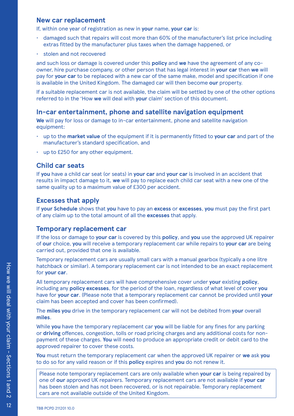#### **New car replacement**

If, within one year of registration as new in **your** name, **your car** is:

- damaged such that repairs will cost more than 60% of the manufacturer's list price including extras fitted by the manufacturer plus taxes when the damage happened, or
- stolen and not recovered

and such loss or damage is covered under this **policy** and **we** have the agreement of any coowner, hire purchase company, or other person that has legal interest in **your car** then **we** will pay for **your car** to be replaced with a new car of the same make, model and specification if one is available in the United Kingdom. The damaged car will then become **our** property.

If a suitable replacement car is not available, the claim will be settled by one of the other options referred to in the 'How **we** will deal with **your** claim' section of this document.

#### **In-car entertainment, phone and satellite navigation equipment**

**We** will pay for loss or damage to in-car entertainment, phone and satellite navigation equipment:

- up to the **market value** of the equipment if it is permanently fitted to **your car** and part of the manufacturer's standard specification, and
- up to £250 for any other equipment.

#### **Child car seats**

If **you** have a child car seat (or seats) in **your car** and **your car** is involved in an accident that results in impact damage to it, **we** will pay to replace each child car seat with a new one of the same quality up to a maximum value of £300 per accident.

#### **Excesses that apply**

If **your Schedule** shows that **you** have to pay an **excess** or **excesses**, **you** must pay the first part of any claim up to the total amount of all the **excesses** that apply.

#### **Temporary replacement car**

If the loss or damage to **your car** is covered by this **policy**, and **you** use the approved UK repairer of **our** choice, **you** will receive a temporary replacement car while repairs to **your car** are being carried out, provided that one is available.

Temporary replacement cars are usually small cars with a manual gearbox (typically a one litre hatchback or similar). A temporary replacement car is not intended to be an exact replacement for **your car**.

All temporary replacement cars will have comprehensive cover under **your** existing **policy**, including any **policy excesses**, for the period of the loan, regardless of what level of cover **you** have for **your car**. (Please note that a temporary replacement car cannot be provided until **your** claim has been accepted and cover has been confirmed).

The **miles you** drive in the temporary replacement car will not be debited from **your** overall **miles**.

While **you** have the temporary replacement car **you** will be liable for any fines for any parking or **driving** offences, congestion, tolls or road pricing charges and any additional costs for nonpayment of these charges. **You** will need to produce an appropriate credit or debit card to the approved repairer to cover these costs.

**You** must return the temporary replacement car when the approved UK repairer or **we** ask **you** to do so for any valid reason or if this **policy** expires and **you** do not renew it.

Please note temporary replacement cars are only available when **your car** is being repaired by one of **our** approved UK repairers. Temporary replacement cars are not available if **your car** has been stolen and has not been recovered, or is not repairable. Temporary replacement cars are not available outside of the United Kingdom.

 $\overline{6}$ 

How we will deal with your claim - Sections 1 and How we will deal with your claim - Sections 1 and 2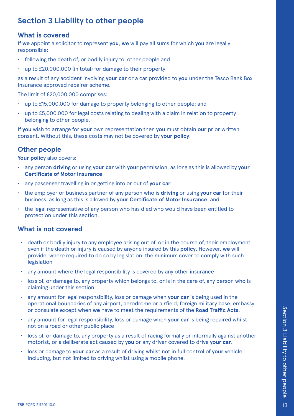# <span id="page-13-0"></span>**Section 3 Liability to other people**

### **What is covered**

If **we** appoint a solicitor to represent **you**, **we** will pay all sums for which **you** are legally responsible:

- following the death of, or bodily injury to, other people and
- up to £20,000,000 (in total) for damage to their property

as a result of any accident involving **your car** or a car provided to **you** under the Tesco Bank Box Insurance approved repairer scheme.

The limit of £20,000,000 comprises:

- up to £15,000,000 for damage to property belonging to other people; and
- $\cdot$  up to £5,000,000 for legal costs relating to dealing with a claim in relation to property belonging to other people.

If **you** wish to arrange for **your** own representation then **you** must obtain **our** prior written consent. Without this, these costs may not be covered by **your policy**.

### **Other people**

**Your policy** also covers:

- any person **driving** or using **your car** with **your** permission, as long as this is allowed by **your Certificate of Motor Insurance**
- any passenger travelling in or getting into or out of **your car**
- the employer or business partner of any person who is **driving** or using **your car** for their business, as long as this is allowed by **your Certificate of Motor Insurance**, and
- the legal representative of any person who has died who would have been entitled to protection under this section.

### **What is not covered**

- death or bodily injury to any employee arising out of, or in the course of, their employment even if the death or injury is caused by anyone insured by this **policy**. However, **we** will provide, where required to do so by legislation, the minimum cover to comply with such legislation
- any amount where the legal responsibility is covered by any other insurance
- loss of, or damage to, any property which belongs to, or is in the care of, any person who is claiming under this section
- any amount for legal responsibility, loss or damage when **your car** is being used in the operational boundaries of any airport, aerodrome or airfield, foreign military base, embassy or consulate except when **we** have to meet the requirements of the **Road Traffic Acts**.
- any amount for legal responsibility, loss or damage when **your car** is being repaired whilst not on a road or other public place
- loss of, or damage to, any property as a result of racing formally or informally against another motorist, or a deliberate act caused by **you** or any driver covered to drive **your car**.
- loss or damage to **your car** as a result of driving whilst not in full control of **your** vehicle including, but not limited to driving whilst using a mobile phone.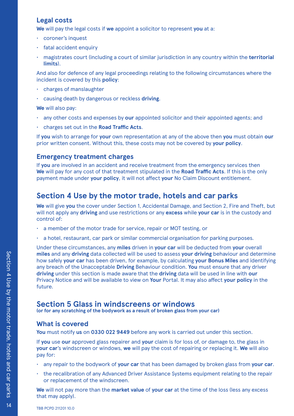### <span id="page-14-0"></span>**Legal costs**

**We** will pay the legal costs if **we** appoint a solicitor to represent **you** at a:

- coroner's inquest
- fatal accident enquiry
- magistrates court (including a court of similar jurisdiction in any country within the **territorial limits**).

And also for defence of any legal proceedings relating to the following circumstances where the incident is covered by this **policy**:

- charges of manslaughter
- causing death by dangerous or reckless **driving**.

**We** will also pay:

- any other costs and expenses by **our** appointed solicitor and their appointed agents; and
- charges set out in the **Road Traffic Acts**.

If **you** wish to arrange for **your** own representation at any of the above then **you** must obtain **our**  prior written consent. Without this, these costs may not be covered by **your policy**.

### **Emergency treatment charges**

If **you** are involved in an accident and receive treatment from the emergency services then **We** will pay for any cost of that treatment stipulated in the **Road Traffic Acts**. If this is the only payment made under **your policy**, it will not affect **your** No Claim Discount entitlement.

# **Section 4 Use by the motor trade, hotels and car parks**

**We** will give **you** the cover under Section 1, Accidental Damage, and Section 2, Fire and Theft, but will not apply any **driving** and use restrictions or any **excess** while **your car** is in the custody and control of:

- a member of the motor trade for service, repair or MOT testing, or
- a hotel, restaurant, car park or similar commercial organisation for parking purposes.

Under these circumstances, any **miles** driven in **your car** will be deducted from **your** overall **miles** and any **driving** data collected will be used to assess **your driving** behaviour and determine how safely **your car** has been driven, for example, by calculating **your Bonus Miles** and identifying any breach of the Unacceptable **Driving** Behaviour condition. **You** must ensure that any driver **driving** under this section is made aware that the **driving** data will be used in line with **our** Privacy Notice and will be available to view on **Your** Portal. It may also affect **your policy** in the future.

# **Section 5 Glass in windscreens or windows**

**(or for any scratching of the bodywork as a result of broken glass from your car)**

### **What is covered**

**You** must notify **us** on **0330 022 9449** before any work is carried out under this section.

If **you** use **our** approved glass repairer and **your** claim is for loss of, or damage to, the glass in **your car**'s windscreen or windows, **we** will pay the cost of repairing or replacing it. **We** will also pay for:

- any repair to the bodywork of **your car** that has been damaged by broken glass from **your car**.
- the recalibration of any Advanced Driver Assistance Systems equipment relating to the repair or replacement of the windscreen.

**We** will not pay more than the **market value** of **your car** at the time of the loss (less any excess that may apply).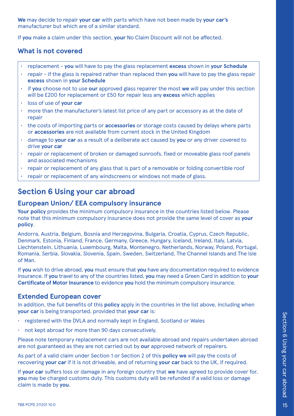<span id="page-15-0"></span>**We** may decide to repair **your car** with parts which have not been made by **your car's** manufacturer but which are of a similar standard.

If **you** make a claim under this section, **your** No Claim Discount will not be affected.

### **What is not covered**

- replacement **you** will have to pay the glass replacement **excess** shown in **your Schedule**
- repair if the glass is repaired rather than replaced then **you** will have to pay the glass repair **excess** shown in **your Schedule**
- if **you** choose not to use **our** approved glass repairer the most **we** will pay under this section will be £200 for replacement or £50 for repair less any **excess** which applies
- loss of use of **your car**
- more than the manufacturer's latest list price of any part or accessory as at the date of repair
- the costs of importing parts or **accessories** or storage costs caused by delays where parts or **accessories** are not available from current stock in the United Kingdom
- damage to **your car** as a result of a deliberate act caused by **you** or any driver covered to drive **your car**
- repair or replacement of broken or damaged sunroofs, fixed or moveable glass roof panels and associated mechanisms
- repair or replacement of any glass that is part of a removable or folding convertible roof
- repair or replacement of any windscreens or windows not made of glass.

# **Section 6 Using your car abroad**

#### **European Union/ EEA compulsory insurance**

**Your policy** provides the minimum compulsory insurance in the countries listed below. Please note that this minimum compulsory insurance does not provide the same level of cover as **your policy**.

Andorra, Austria, Belgium, Bosnia and Herzegovina, Bulgaria, Croatia, Cyprus, Czech Republic, Denmark, Estonia, Finland, France, Germany, Greece, Hungary, Iceland, Ireland, Italy, Latvia, Liechtenstein, Lithuania, Luxembourg, Malta, Montenegro, Netherlands, Norway, Poland, Portugal, Romania, Serbia, Slovakia, Slovenia, Spain, Sweden, Switzerland, The Channel Islands and The Isle of Man.

If **you** wish to drive abroad, **you** must ensure that **you** have any documentation required to evidence insurance. If **you** travel to any of the countries listed, **you** may need a Green Card in addition to **your Certificate of Motor Insurance** to evidence **you** hold the minimum compulsory insurance.

#### **Extended European cover**

In addition, the full benefits of this **policy** apply in the countries in the list above, including when **your car** is being transported, provided that **your car** is:

- registered with the DVLA and normally kept in England, Scotland or Wales
- not kept abroad for more than 90 days consecutively.

Please note temporary replacement cars are not available abroad and repairs undertaken abroad are not guaranteed as they are not carried out by **our** approved network of repairers.

As part of a valid claim under Section 1 or Section 2 of this **policy we** will pay the costs of recovering **your car** if it is not driveable, and of returning **your car** back to the UK, if required.

If **your car** suffers loss or damage in any foreign country that **we** have agreed to provide cover for, **you** may be charged customs duty. This customs duty will be refunded if a valid loss or damage claim is made by **you**.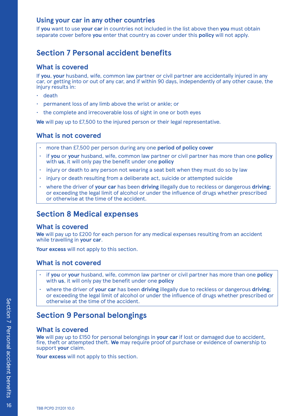### <span id="page-16-0"></span>**Using your car in any other countries**

If **you** want to use **your car** in countries not included in the list above then **you** must obtain separate cover before **you** enter that country as cover under this **policy** will not apply.

# **Section 7 Personal accident benefits**

### **What is covered**

If **you**, **your** husband, wife, common law partner or civil partner are accidentally injured in any car, or getting into or out of any car, and if within 90 days, independently of any other cause, the injury results in:

- death
- permanent loss of any limb above the wrist or ankle; or
- the complete and irrecoverable loss of sight in one or both eyes

**We** will pay up to £7,500 to the injured person or their legal representative.

### **What is not covered**

- more than £7,500 per person during any one **period of policy cover**
- if **you** or **your** husband, wife, common law partner or civil partner has more than one **policy** with **us**, it will only pay the benefit under one **policy**
- injury or death to any person not wearing a seat belt when they must do so by law
- injury or death resulting from a deliberate act, suicide or attempted suicide
- where the driver of **your car** has been **driving** illegally due to reckless or dangerous **driving**; or exceeding the legal limit of alcohol or under the influence of drugs whether prescribed or otherwise at the time of the accident.

# **Section 8 Medical expenses**

#### **What is covered**

**We** will pay up to £200 for each person for any medical expenses resulting from an accident while travelling in **your car**.

**Your excess** will not apply to this section.

#### **What is not covered**

- if **you** or **your** husband, wife, common law partner or civil partner has more than one **policy** with **us**, it will only pay the benefit under one **policy**
- where the driver of **your car** has been **driving** illegally due to reckless or dangerous **driving**; or exceeding the legal limit of alcohol or under the influence of drugs whether prescribed or otherwise at the time of the accident.

# **Section 9 Personal belongings**

#### **What is covered**

**We** will pay up to £150 for personal belongings in **your car** if lost or damaged due to accident, fire, theft or attempted theft. **We** may require proof of purchase or evidence of ownership to support **your** claim.

**Your excess** will not apply to this section.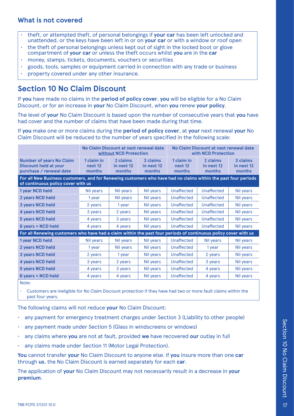### <span id="page-17-0"></span>**What is not covered**

- theft, or attempted theft, of personal belongings if **your car** has been left unlocked and unattended, or the keys have been left in or on **your car** or with a window or roof open
- the theft of personal belongings unless kept out of sight in the locked boot or glove compartment of **your car** or unless the theft occurs whilst **you** are in the **car**
- money, stamps, tickets, documents, vouchers or securities
- goods, tools, samples or equipment carried in connection with any trade or business
- property covered under any other insurance.

# **Section 10 No Claim Discount**

If **you** have made no claims in the **period of policy cover**, **you** will be eligible for a No Claim Discount, or for an increase in **your** No Claim Discount, when **you** renew **your policy**.

The level of **your** No Claim Discount is based upon the number of consecutive years that **you** have had cover and the number of claims that have been made during that time.

If **you** make one or more claims during the **period of policy cover**, at **your** next renewal **your** No Claim Discount will be reduced to the number of years specified in the following scale:

|                                                                                                                                                      | No Claim Discount at next renewal date<br>without NCD Protection |                                  |                                  | No Claim Discount at next renewal date<br>with NCD Protection |                                  |                                  |
|------------------------------------------------------------------------------------------------------------------------------------------------------|------------------------------------------------------------------|----------------------------------|----------------------------------|---------------------------------------------------------------|----------------------------------|----------------------------------|
| <b>Number of years No Claim</b><br><b>Discount held at your</b><br>purchase / renewal date                                                           | 1 claim in<br>next 12<br>months                                  | 2 claims<br>in next 12<br>months | 3 claims<br>in next 12<br>months | 1 claim in<br>next <sub>12</sub><br>months                    | 2 claims<br>in next 12<br>months | 3 claims<br>in next 12<br>months |
| For all New Business customers, and for Renewing customers who have had no claims within the past four periods<br>of continuous policy cover with us |                                                                  |                                  |                                  |                                                               |                                  |                                  |
| 1 year NCD held                                                                                                                                      | Nil years                                                        | Nil years                        | Nil years                        | Unaffected                                                    | Unaffected                       | Nil years                        |
| 2 years NCD held                                                                                                                                     | 1 year                                                           | Nil years                        | Nil years                        | <b>Unaffected</b>                                             | <b>Unaffected</b>                | Nil years                        |
| 3 years NCD held                                                                                                                                     | 2 years                                                          | 1 year                           | Nil years                        | Unaffected                                                    | Unaffected                       | Nil years                        |
| 4 years NCD held                                                                                                                                     | 3 years                                                          | 2 years                          | Nil years                        | Unaffected                                                    | Unaffected                       | Nil years                        |
| <b>5 years NCD held</b>                                                                                                                              | 4 years                                                          | 3 years                          | Nil years                        | Unaffected                                                    | Unaffected                       | Nil years                        |
| 6 years + NCD held                                                                                                                                   | 4 years                                                          | 4 years                          | Nil years                        | <b>Unaffected</b>                                             | <b>Unaffected</b>                | Nil years                        |
| For all Renewing customers who have had a claim within the past four periods of continuous policy cover with us                                      |                                                                  |                                  |                                  |                                                               |                                  |                                  |
| 1 year NCD held                                                                                                                                      | Nil years                                                        | Nil years                        | Nil years                        | Unaffected                                                    | Nil years                        | Nil years                        |
| 2 years NCD held                                                                                                                                     | 1 year                                                           | Nil years                        | Nil years                        | <b>Unaffected</b>                                             | 1 year                           | Nil years                        |
| <b>3 years NCD held</b>                                                                                                                              | 2 years                                                          | 1 year                           | Nil years                        | <b>Unaffected</b>                                             | 2 years                          | Nil years                        |
| 4 years NCD held                                                                                                                                     | 3 years                                                          | 2 years                          | Nil years                        | Unaffected                                                    | 3 years                          | Nil years                        |
| <b>5 years NCD held</b>                                                                                                                              | 4 years                                                          | 3 years                          | Nil years                        | Unaffected                                                    | 4 years                          | Nil years                        |
| 6 years + NCD held                                                                                                                                   | 4 years                                                          | 4 years                          | Nil years                        | Unaffected                                                    | 4 years                          | Nil years                        |
| Note:                                                                                                                                                |                                                                  |                                  |                                  |                                                               |                                  |                                  |

• Customers are ineligible for No Claim Discount protection if they have had two or more fault claims within the past four years.

The following claims will not reduce **your** No Claim Discount:

- any payment for emergency treatment charges under Section 3 (Liability to other people)
- any payment made under Section 5 (Glass in windscreens or windows)
- any claims where **you** are not at fault, provided **we** have recovered **our** outlay in full
- any claims made under Section 11 (Motor Legal Protection).

**You** cannot transfer **your** No Claim Discount to anyone else. If **you** insure more than one **car** through **us**, the No Claim Discount is earned separately for each **car**.

The application of **your** No Claim Discount may not necessarily result in a decrease in **your premium**.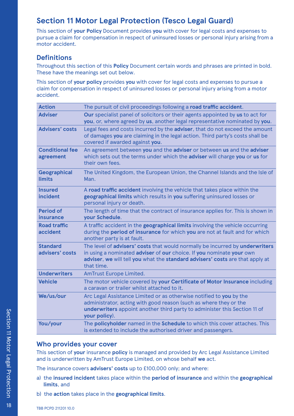# <span id="page-18-0"></span>**Section 11 Motor Legal Protection (Tesco Legal Guard)**

This section of **your Policy** Document provides **you** with cover for legal costs and expenses to pursue a claim for compensation in respect of uninsured losses or personal injury arising from a motor accident.

### **Definitions**

Throughout this section of this **Policy** Document certain words and phrases are printed in bold. These have the meanings set out below.

This section of **your policy** provides **you** with cover for legal costs and expenses to pursue a claim for compensation in respect of uninsured losses or personal injury arising from a motor accident.

| <b>Action</b>                       | The pursuit of civil proceedings following a road traffic accident.                                                                                                                                                                                 |
|-------------------------------------|-----------------------------------------------------------------------------------------------------------------------------------------------------------------------------------------------------------------------------------------------------|
| <b>Adviser</b>                      | Our specialist panel of solicitors or their agents appointed by us to act for<br>you, or, where agreed by us, another legal representative nominated by you.                                                                                        |
| <b>Advisers' costs</b>              | Legal fees and costs incurred by the adviser, that do not exceed the amount<br>of damages you are claiming in the legal action. Third party's costs shall be<br>covered if awarded against you.                                                     |
| <b>Conditional fee</b><br>agreement | An agreement between you and the adviser or between us and the adviser<br>which sets out the terms under which the adviser will charge you or us for<br>their own fees.                                                                             |
| Geographical<br><b>limits</b>       | The United Kingdom, the European Union, the Channel Islands and the Isle of<br>Man.                                                                                                                                                                 |
| <b>Insured</b><br>incident          | A road traffic accident involving the vehicle that takes place within the<br>geographical limits which results in you suffering uninsured losses or<br>personal injury or death.                                                                    |
| <b>Period of</b><br>insurance       | The length of time that the contract of insurance applies for. This is shown in<br>your Schedule.                                                                                                                                                   |
| <b>Road traffic</b><br>accident     | A traffic accident in the geographical limits involving the vehicle occurring<br>during the period of insurance for which you are not at fault and for which<br>another party is at fault.                                                          |
| <b>Standard</b><br>advisers' costs  | The level of advisers' costs that would normally be incurred by underwriters<br>in using a nominated adviser of our choice. If you nominate your own<br>adviser, we will tell you what the standard advisers' costs are that apply at<br>that time. |
| <b>Underwriters</b>                 | <b>AmTrust Europe Limited.</b>                                                                                                                                                                                                                      |
| <b>Vehicle</b>                      | The motor vehicle covered by your Certificate of Motor Insurance including<br>a caravan or trailer whilst attached to it.                                                                                                                           |
| We/us/our                           | Arc Legal Assistance Limited or as otherwise notified to you by the<br>administrator, acting with good reason (such as where they or the<br>underwriters appoint another third party to administer this Section 11 of<br>your policy).              |
| You/your                            | The policyholder named in the Schedule to which this cover attaches. This<br>is extended to include the authorised driver and passengers.                                                                                                           |
|                                     |                                                                                                                                                                                                                                                     |

#### **Who provides your cover**

This section of **your** insurance **policy** is managed and provided by Arc Legal Assistance Limited and is underwritten by AmTrust Europe Limited, on whose behalf **we** act.

The insurance covers **advisers' costs** up to £100,000 only; and where:

- a) the **insured incident** takes place within the **period of insurance** and within the **geographical limits**, and
- b) the **action** takes place in the **geographical limits**.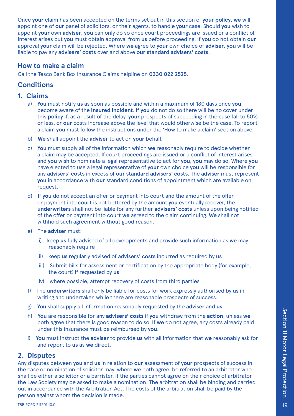Once **your** claim has been accepted on the terms set out in this section of **your policy**, **we** will appoint one of **our** panel of solicitors, or their agents, to handle **your** case. Should **you** wish to appoint **your** own **adviser**, **you** can only do so once court proceedings are issued or a conflict of interest arises but **you** must obtain approval from **us** before proceeding. If **you** do not obtain **our** approval **your** claim will be rejected. Where **we** agree to **your** own choice of **adviser**, **you** will be liable to pay any **advisers' costs** over and above **our standard advisers' costs**.

### **How to make a claim**

Call the Tesco Bank Box Insurance Claims helpline on **0330 022 2525**.

### **Conditions**

#### **1. Claims**

- a) **You** must notify **us** as soon as possible and within a maximum of 180 days once **you** become aware of the **insured incident**. If **you** do not do so there will be no cover under this **policy** if, as a result of the delay, **your** prospects of succeeding in the case fall to 50% or less, or **our** costs increase above the level that would otherwise be the case. To report a claim **you** must follow the instructions under the 'How to make a claim' section above.
- b) **We** shall appoint the **adviser** to act on **your** behalf.
- c) **You** must supply all of the information which **we** reasonably require to decide whether a claim may be accepted. If court proceedings are issued or a conflict of interest arises and **you** wish to nominate a legal representative to act for **you**, **you** may do so. Where **you** have elected to use a legal representative of **your** own choice **you** will be responsible for any **advisers' costs** in excess of **our standard advisers' costs**. The **adviser** must represent **you** in accordance with **our** standard conditions of appointment which are available on request.
- d) If **you** do not accept an offer or payment into court and the amount of the offer or payment into court is not bettered by the amount **you** eventually recover, the **underwriters** shall not be liable for any further **advisers' costs** unless upon being notified of the offer or payment into court **we** agreed to the claim continuing. **We** shall not withhold such agreement without good reason.
- e) The **adviser** must:
	- i) keep **us** fully advised of all developments and provide such information as **we** may reasonably require
	- ii) keep **us** regularly advised of **advisers' costs** incurred as required by **us**
	- iii) Submit bills for assessment or certification by the appropriate body (for example, the court) if requested by **us**
	- iv) where possible, attempt recovery of costs from third parties.
- f) The **underwriters** shall only be liable for costs for work expressly authorised by **us** in writing and undertaken while there are reasonable prospects of success.
- g) **You** shall supply all information reasonably requested by the **adviser** and **us**.
- h) **You** are responsible for any **advisers' costs** if **you** withdraw from the **action**, unless **we** both agree that there is good reason to do so. If **we** do not agree, any costs already paid under this insurance must be reimbursed by **you**.
- i) **You** must instruct the **adviser** to provide **us** with all information that **we** reasonably ask for and report to **us** as **we** direct.

#### **2. Disputes**

Any disputes between **you** and **us** in relation to **our** assessment of **your** prospects of success in the case or nomination of solicitor may, where **we** both agree, be referred to an arbitrator who shall be either a solicitor or a barrister. If the parties cannot agree on their choice of arbitrator the Law Society may be asked to make a nomination. The arbitration shall be binding and carried out in accordance with the Arbitration Act. The costs of the arbitration shall be paid by the person against whom the decision is made.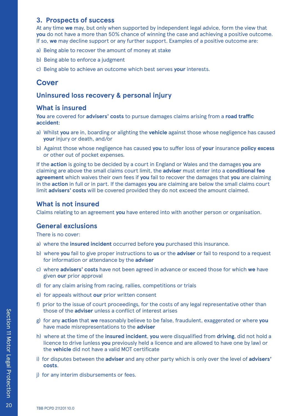#### **3. Prospects of success**

At any time **we** may, but only when supported by independent legal advice, form the view that **you** do not have a more than 50% chance of winning the case and achieving a positive outcome. If so, **we** may decline support or any further support. Examples of a positive outcome are:

- a) Being able to recover the amount of money at stake
- b) Being able to enforce a judgment
- c) Being able to achieve an outcome which best serves **your** interests.

### **Cover**

### **Uninsured loss recovery & personal injury**

### **What is insured**

**You** are covered for **advisers' costs** to pursue damages claims arising from a **road traffic accident**:

- a) Whilst **you** are in, boarding or alighting the **vehicle** against those whose negligence has caused **your** injury or death, and/or
- b) Against those whose negligence has caused **you** to suffer loss of **your** insurance **policy excess** or other out of pocket expenses.

If the **action** is going to be decided by a court in England or Wales and the damages **you** are claiming are above the small claims court limit, the **adviser** must enter into a **conditional fee agreement** which waives their own fees if **you** fail to recover the damages that **you** are claiming in the **action** in full or in part. If the damages **you** are claiming are below the small claims court limit **advisers' costs** will be covered provided they do not exceed the amount claimed.

### **What is not insured**

Claims relating to an agreement **you** have entered into with another person or organisation.

### **General exclusions**

There is no cover:

- a) where the **insured incident** occurred before **you** purchased this insurance.
- b) where **you** fail to give proper instructions to **us** or the **adviser** or fail to respond to a request for information or attendance by the **adviser**
- c) where **advisers' costs** have not been agreed in advance or exceed those for which **we** have given **our** prior approval
- d) for any claim arising from racing, rallies, competitions or trials
- e) for appeals without **our** prior written consent
- f) prior to the issue of court proceedings, for the costs of any legal representative other than those of the **adviser** unless a conflict of interest arises
- g) for any **action** that **we** reasonably believe to be false, fraudulent, exaggerated or where **you**  have made misrepresentations to the **adviser**
- h) where at the time of the **insured incident**, **you** were disqualified from **driving**, did not hold a licence to drive (unless **you** previously held a licence and are allowed to have one by law) or the **vehicle** did not have a valid MOT certificate
- i) for disputes between the **adviser** and any other party which is only over the level of **advisers' costs**.
- j) for any interim disbursements or fees.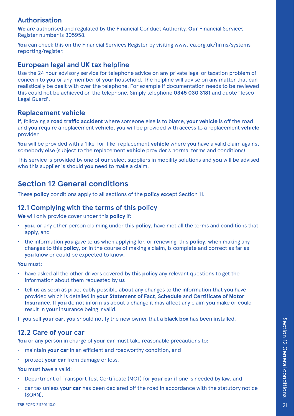### <span id="page-21-0"></span>**Authorisation**

**We** are authorised and regulated by the Financial Conduct Authority. **Our** Financial Services Register number is 305958.

You can check this on the Financial Services Register by visiting www.fca.org.uk/firms/systemsreporting/register.

### **European legal and UK tax helpline**

Use the 24 hour advisory service for telephone advice on any private legal or taxation problem of concern to **you** or any member of **your** household. The helpline will advise on any matter that can realistically be dealt with over the telephone. For example if documentation needs to be reviewed this could not be achieved on the telephone. Simply telephone **0345 030 3181** and quote 'Tesco Legal Guard'.

### **Replacement vehicle**

If, following a **road traffic accident** where someone else is to blame, **your vehicle** is off the road and **you** require a replacement **vehicle**, **you** will be provided with access to a replacement **vehicle** provider.

**You** will be provided with a 'like-for-like' replacement **vehicle** where **you** have a valid claim against somebody else (subject to the replacement **vehicle** provider's normal terms and conditions).

This service is provided by one of **our** select suppliers in mobility solutions and **you** will be advised who this supplier is should **you** need to make a claim.

# **Section 12 General conditions**

These **policy** conditions apply to all sections of the **policy** except Section 11.

### **12.1 Complying with the terms of this policy**

**We** will only provide cover under this **policy** if:

- **you**, or any other person claiming under this **policy**, have met all the terms and conditions that apply, and
- the information **you** gave to **us** when applying for, or renewing, this **policy**, when making any changes to this **policy**, or in the course of making a claim, is complete and correct as far as **you** know or could be expected to know.

**You** must:

- have asked all the other drivers covered by this **policy** any relevant questions to get the information about them requested by **us**
- tell **us** as soon as practicably possible about any changes to the information that **you** have provided which is detailed in **your Statement of Fact**, **Schedule** and **Certificate of Motor Insurance**. If **you** do not inform **us** about a change it may affect any claim **you** make or could result in **your** insurance being invalid.

If **you** sell **your car**, **you** should notify the new owner that a **black box** has been installed.

### **12.2 Care of your car**

**You** or any person in charge of **your car** must take reasonable precautions to:

- maintain **your car** in an efficient and roadworthy condition, and
- protect **your car** from damage or loss.

**You** must have a valid:

- Department of Transport Test Certificate (MOT) for **your car** if one is needed by law, and
- car tax unless **your car** has been declared off the road in accordance with the statutory notice (SORN).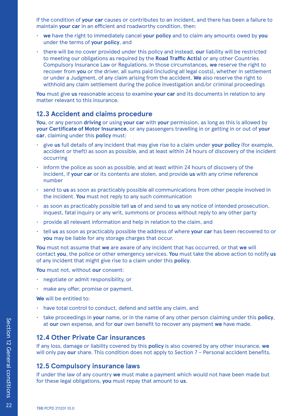If the condition of **your car** causes or contributes to an incident, and there has been a failure to maintain **your car** in an efficient and roadworthy condition, then:

- **we** have the right to immediately cancel **your policy** and to claim any amounts owed by **you** under the terms of **your policy**, and
- there will be no cover provided under this policy and instead, **our** liability will be restricted to meeting our obligations as required by the **Road Traffic Act(s)** or any other Countries Compulsory Insurance Law or Regulations. In those circumstances, **we** reserve the right to recover from **you** or the driver, all sums paid (including all legal costs), whether in settlement or under a Judgment, of any claim arising from the accident. **We** also reserve the right to withhold any claim settlement during the police investigation and/or criminal proceedings

**You** must give **us** reasonable access to examine **your car** and its documents in relation to any matter relevant to this insurance.

#### **12.3 Accident and claims procedure**

**You**, or any person **driving** or using **your car** with **your** permission, as long as this is allowed by **your Certificate of Motor Insurance**, or any passengers travelling in or getting in or out of **your car**, claiming under this **policy** must:

- give **us** full details of any incident that may give rise to a claim under **your policy** (for example, accident or theft) as soon as possible, and at least within 24 hours of discovery of the incident occurring
- inform the police as soon as possible, and at least within 24 hours of discovery of the incident, if **your car** or its contents are stolen, and provide **us** with any crime reference number
- send to **us** as soon as practicably possible all communications from other people involved in the incident. **You** must not reply to any such communication
- as soon as practicably possible tell **us** of and send to **us** any notice of intended prosecution, inquest, fatal inquiry or any writ, summons or process without reply to any other party
- provide all relevant information and help in relation to the claim, and
- tell **us** as soon as practicably possible the address of where **your car** has been recovered to or **you** may be liable for any storage charges that occur.

**You** must not assume that **we** are aware of any incident that has occurred, or that **we** will contact **you**, the police or other emergency services. **You** must take the above action to notify **us** of any incident that might give rise to a claim under this **policy**.

**You** must not, without **our** consent:

- negotiate or admit responsibility, or
- make any offer, promise or payment.

**We** will be entitled to:

- have total control to conduct, defend and settle any claim, and
- take proceedings in **your** name, or in the name of any other person claiming under this **policy**, at **our** own expense, and for **our** own benefit to recover any payment **we** have made.

#### **12.4 Other Private Car insurances**

If any loss, damage or liability covered by this **policy** is also covered by any other insurance, **we** will only pay our share. This condition does not apply to Section 7 - Personal accident benefits.

#### **12.5 Compulsory insurance laws**

If under the law of any country **we** must make a payment which would not have been made but for these legal obligations, **you** must repay that amount to **us**.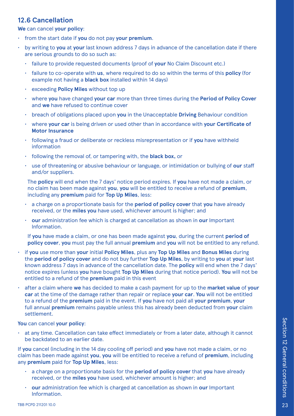### **12.6 Cancellation**

**We** can cancel **your policy**:

- from the start date if **you** do not pay **your premium**.
- by writing to **you** at **your** last known address 7 days in advance of the cancellation date if there are serious grounds to do so such as:
	- failure to provide requested documents (proof of **your** No Claim Discount etc.)
	- failure to co-operate with **us**, where required to do so within the terms of this **policy** (for example not having a **black box** installed within 14 days)
	- exceeding **Policy Miles** without top up
	- where **you** have changed **your car** more than three times during the **Period of Policy Cover** and **we** have refused to continue cover
	- breach of obligations placed upon **you** in the Unacceptable **Driving** Behaviour condition
	- where **your car** is being driven or used other than in accordance with **your Certificate of Motor Insurance**
	- following a fraud or deliberate or reckless misrepresentation or if **you** have withheld information
	- following the removal of, or tampering with, the **black box,** or
	- use of threatening or abusive behaviour or language, or intimidation or bullying of **our** staff and/or suppliers.

The **policy** will end when the 7 days' notice period expires. If **you** have not made a claim, or no claim has been made against **you**, **you** will be entitled to receive a refund of **premium**, including any **premium** paid for **Top Up Miles**, less:

- a charge on a proportionate basis for the **period of policy cover** that **you** have already received, or the **miles you** have used, whichever amount is higher; and
- **our** administration fee which is charged at cancellation as shown in **our** Important Information.

If **you** have made a claim, or one has been made against **you**, during the current **period of policy cover**, **you** must pay the full annual **premium** and **you** will not be entitled to any refund.

- if **you** use more than **your** initial **Policy Miles**, plus any **Top Up Miles** and **Bonus Miles** during the **period of policy cover** and do not buy further **Top Up Miles**, by writing to **you** at **your** last known address 7 days in advance of the cancellation date. The **policy** will end when the 7 days' notice expires (unless **you** have bought **Top Up Miles** during that notice period). **You** will not be entitled to a refund of the **premium** paid in this event
- after a claim where **we** has decided to make a cash payment for up to the **market value** of **your car** at the time of the damage rather than repair or replace **your car**. **You** will not be entitled to a refund of the **premium** paid in the event. If **you** have not paid all **your premium**, **your** full annual **premium** remains payable unless this has already been deducted from **your** claim settlement.

**You** can cancel **your policy**:

• at any time. Cancellation can take effect immediately or from a later date, although it cannot be backdated to an earlier date.

If **you** cancel (including in the 14 day cooling off period) and **you** have not made a claim, or no claim has been made against **you**, **you** will be entitled to receive a refund of **premium**, including any **premium** paid for **Top Up Miles**, less:

- a charge on a proportionate basis for the **period of policy cover** that **you** have already received, or the **miles you** have used, whichever amount is higher; and
- **our** administration fee which is charged at cancellation as shown in **our** Important Information.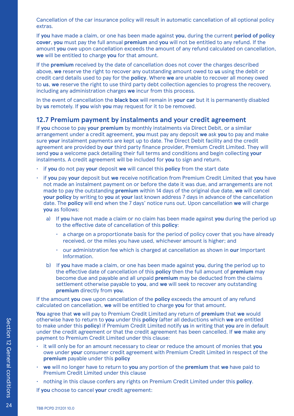Cancellation of the car insurance policy will result in automatic cancellation of all optional policy extras.

If **you** have made a claim, or one has been made against **you**, during the current **period of policy cover**, **you** must pay the full annual **premium** and **you** will not be entitled to any refund. If the amount **you** owe upon cancellation exceeds the amount of any refund calculated on cancellation, **we** will be entitled to charge **you** for that amount.

If the **premium** received by the date of cancellation does not cover the charges described above, **we** reserve the right to recover any outstanding amount owed to **us** using the debit or credit card details used to pay for the **policy**. Where **we** are unable to recover all money owed to **us**, **we** reserve the right to use third party debt collection agencies to progress the recovery, including any administration charges **we** incur from this process.

In the event of cancellation the **black box** will remain in **your car** but it is permanently disabled by **us** remotely. If **you** wish **you** may request for it to be removed.

#### **12.7 Premium payment by instalments and your credit agreement**

If **you** choose to pay **your premium** by monthly instalments via Direct Debit, or a similar arrangement under a credit agreement, **you** must pay any deposit **we** ask **you** to pay and make sure **your** instalment payments are kept up to date. The Direct Debit facility and the credit agreement are provided by **our** third party finance provider, Premium Credit Limited. They will send **you** a welcome pack detailing their full terms and conditions and begin collecting **your** instalments. A credit agreement will be included for **you** to sign and return.

- if **you** do not pay **your** deposit **we** will cancel this **policy** from the start date
- if **you** pay **your** deposit but **we** receive notification from Premium Credit Limited that **you** have not made an instalment payment on or before the date it was due, and arrangements are not made to pay the outstanding **premium** within 14 days of the original due date, **we** will cancel **your policy** by writing to **you** at **your** last known address 7 days in advance of the cancellation date. The **policy** will end when the 7 days' notice runs out. Upon cancellation **we** will charge **you** as follows:
	- a) If **you** have not made a claim or no claim has been made against **you** during the period up to the effective date of cancellation of this **policy**:
		- a charge on a proportionate basis for the period of policy cover that you have already received, or the miles you have used, whichever amount is higher; and
		- our administration fee which is charged at cancellation as shown in **our** Important Information.
	- b) If **you** have made a claim, or one has been made against **you**, during the period up to the effective date of cancellation of this **policy** then the full amount of **premium** may become due and payable and all unpaid **premium** may be deducted from the claims settlement otherwise payable to **you**, and **we** will seek to recover any outstanding **premium** directly from **you**.

If the amount **you** owe upon cancellation of the **policy** exceeds the amount of any refund calculated on cancellation, **we** will be entitled to charge **you** for that amount.

**You** agree that **we** will pay to Premium Credit Limited any return of **premium** that **we** would otherwise have to return to **you** under this **policy** (after all deductions which **we** are entitled to make under this **policy**) if Premium Credit Limited notify **us** in writing that **you** are in default under the credit agreement or that the credit agreement has been cancelled. If **we** make any payment to Premium Credit Limited under this clause:

- it will only be for an amount necessary to clear or reduce the amount of monies that **you** owe under **your** consumer credit agreement with Premium Credit Limited in respect of the **premium** payable under this **policy**
- **we** will no longer have to return to **you** any portion of the **premium** that **we** have paid to Premium Credit Limited under this clause
- nothing in this clause confers any rights on Premium Credit Limited under this **policy**.

If **you** choose to cancel **your** credit agreement: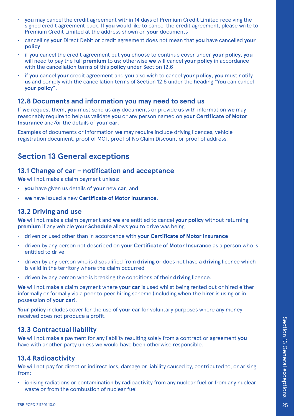- <span id="page-25-0"></span>• **you** may cancel the credit agreement within 14 days of Premium Credit Limited receiving the signed credit agreement back. If **you** would like to cancel the credit agreement, please write to Premium Credit Limited at the address shown on **your** documents
- cancelling **your** Direct Debit or credit agreement does not mean that **you** have cancelled **your policy**
- if **you** cancel the credit agreement but **you** choose to continue cover under **your policy**, **you** will need to pay the full **premium** to **us**; otherwise **we** will cancel **your policy** in accordance with the cancellation terms of this **policy** under Section 12.6
- if **you** cancel **your** credit agreement and **you** also wish to cancel **your policy**, **you** must notify **us** and comply with the cancellation terms of Section 12.6 under the heading "**You** can cancel **your policy**".

### **12.8 Documents and information you may need to send us**

If **we** request them, **you** must send us any documents or provide **us** with information **we** may reasonably require to help **us** validate **you** or any person named on **your Certificate of Motor Insurance** and/or the details of **your car**.

Examples of documents or information **we** may require include driving licences, vehicle registration document, proof of MOT, proof of No Claim Discount or proof of address.

# **Section 13 General exceptions**

#### **13.1 Change of car – notification and acceptance**

**We** will not make a claim payment unless:

- **you** have given **us** details of **your** new **car**, and
- **we** have issued a new **Certificate of Motor Insurance**.

### **13.2 Driving and use**

**We** will not make a claim payment and **we** are entitled to cancel **your policy** without returning **premium** if any vehicle **your Schedule** allows **you** to drive was being:

- driven or used other than in accordance with **your Certificate of Motor Insurance**
- driven by any person not described on **your Certificate of Motor Insurance** as a person who is entitled to drive
- driven by any person who is disqualified from **driving** or does not have a **driving** licence which is valid in the territory where the claim occurred
- driven by any person who is breaking the conditions of their **driving** licence.

**We** will not make a claim payment where **your car** is used whilst being rented out or hired either informally or formally via a peer to peer hiring scheme (including when the hirer is using or in possession of **your car**).

**Your policy** includes cover for the use of **your car** for voluntary purposes where any money received does not produce a profit.

#### **13.3 Contractual liability**

**We** will not make a payment for any liability resulting solely from a contract or agreement **you** have with another party unless **we** would have been otherwise responsible.

### **13.4 Radioactivity**

**We** will not pay for direct or indirect loss, damage or liability caused by, contributed to, or arising from:

• ionising radiations or contamination by radioactivity from any nuclear fuel or from any nuclear waste or from the combustion of nuclear fuel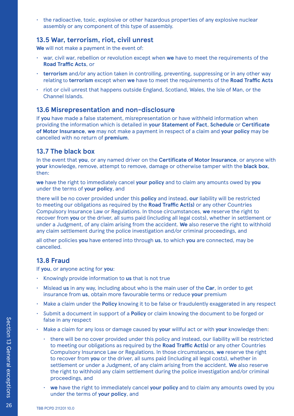• the radioactive, toxic, explosive or other hazardous properties of any explosive nuclear assembly or any component of this type of assembly.

#### **13.5 War, terrorism, riot, civil unrest**

**We** will not make a payment in the event of:

- war, civil war, rebellion or revolution except when **we** have to meet the requirements of the **Road Traffic Acts**, or
- **terrorism** and/or any action taken in controlling, preventing, suppressing or in any other way relating to **terrorism** except when **we** have to meet the requirements of the **Road Traffic Acts**
- riot or civil unrest that happens outside England, Scotland, Wales, the Isle of Man, or the Channel Islands.

#### **13.6 Misrepresentation and non-disclosure**

If **you** have made a false statement, misrepresentation or have withheld information when providing the information which is detailed in **your Statement of Fact**, **Schedule** or **Certificate of Motor Insurance**, **we** may not make a payment in respect of a claim and **your policy** may be cancelled with no return of **premium**.

#### **13.7 The black box**

In the event that **you**, or any named driver on the **Certificate of Motor Insurance**, or anyone with **your** knowledge, remove, attempt to remove, damage or otherwise tamper with the **black box**, then:

**we** have the right to immediately cancel **your policy** and to claim any amounts owed by **you** under the terms of **your policy**, and

there will be no cover provided under this **policy** and instead, **our** liability will be restricted to meeting our obligations as required by the **Road Traffic Act(s)** or any other Countries Compulsory Insurance Law or Regulations. In those circumstances, **we** reserve the right to recover from **you** or the driver, all sums paid (including all legal costs), whether in settlement or under a Judgment, of any claim arising from the accident. **We** also reserve the right to withhold any claim settlement during the police investigation and/or criminal proceedings, and

all other policies **you** have entered into through **us**, to which **you** are connected, may be cancelled.

### **13.8 Fraud**

If **you**, or anyone acting for **you**:

- Knowingly provide information to **us** that is not true
- Mislead **us** in any way, including about who is the main user of the **Car**, in order to get insurance from **us**, obtain more favourable terms or reduce **your** premium
- Make a claim under the **Policy** knowing it to be false or fraudulently exaggerated in any respect
- Submit a document in support of a **Policy** or claim knowing the document to be forged or false in any respect
- Make a claim for any loss or damage caused by **your** willful act or with **your** knowledge then:
	- there will be no cover provided under this policy and instead, our liability will be restricted to meeting our obligations as required by the **Road Traffic Act(s)** or any other Countries Compulsory Insurance Law or Regulations. In those circumstances, **we** reserve the right to recover from **you** or the driver, all sums paid (including all legal costs), whether in settlement or under a Judgment, of any claim arising from the accident. **We** also reserve the right to withhold any claim settlement during the police investigation and/or criminal proceedings, and
	- **we** have the right to immediately cancel **your policy** and to claim any amounts owed by you under the terms of **your policy**, and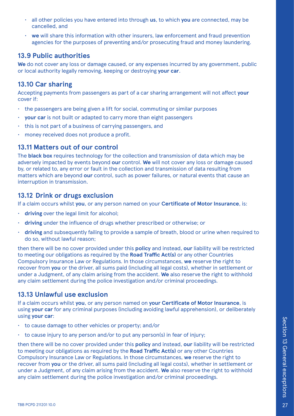- all other policies you have entered into through **us**, to which **you** are connected, may be cancelled, and
- **we** will share this information with other insurers, law enforcement and fraud prevention agencies for the purposes of preventing and/or prosecuting fraud and money laundering.

### **13.9 Public authorities**

**We** do not cover any loss or damage caused, or any expenses incurred by any government, public or local authority legally removing, keeping or destroying **your car**.

### **13.10 Car sharing**

Accepting payments from passengers as part of a car sharing arrangement will not affect **your** cover if:

- the passengers are being given a lift for social, commuting or similar purposes
- **your car** is not built or adapted to carry more than eight passengers
- this is not part of a business of carrying passengers, and
- money received does not produce a profit.

### **13.11 Matters out of our control**

The **black box** requires technology for the collection and transmission of data which may be adversely impacted by events beyond **our** control. **We** will not cover any loss or damage caused by, or related to, any error or fault in the collection and transmission of data resulting from matters which are beyond **our** control, such as power failures, or natural events that cause an interruption in transmission.

#### **13.12 Drink or drugs exclusion**

If a claim occurs whilst **you**, or any person named on your **Certificate of Motor Insurance**, is:

- **driving** over the legal limit for alcohol;
- **driving** under the influence of drugs whether prescribed or otherwise; or
- **driving** and subsequently failing to provide a sample of breath, blood or urine when required to do so, without lawful reason;

then there will be no cover provided under this **policy** and instead, **our** liability will be restricted to meeting our obligations as required by the **Road Traffic Act(s)** or any other Countries Compulsory Insurance Law or Regulations. In those circumstances, **we** reserve the right to recover from **you** or the driver, all sums paid (including all legal costs), whether in settlement or under a Judgment, of any claim arising from the accident. **We** also reserve the right to withhold any claim settlement during the police investigation and/or criminal proceedings.

### **13.13 Unlawful use exclusion**

If a claim occurs whilst **you**, or any person named on **your Certificate of Motor Insurance**, is using **your car** for any criminal purposes (including avoiding lawful apprehension), or deliberately using **your car**:

- to cause damage to other vehicles or property; and/or
- to cause injury to any person and/or to put any person(s) in fear of injury;

then there will be no cover provided under this **policy** and instead, **our** liability will be restricted to meeting our obligations as required by the **Road Traffic Act(s)** or any other Countries Compulsory Insurance Law or Regulations. In those circumstances, **we** reserve the right to recover from **you** or the driver, all sums paid (including all legal costs), whether in settlement or under a Judgment, of any claim arising from the accident. **We** also reserve the right to withhold any claim settlement during the police investigation and/or criminal proceedings.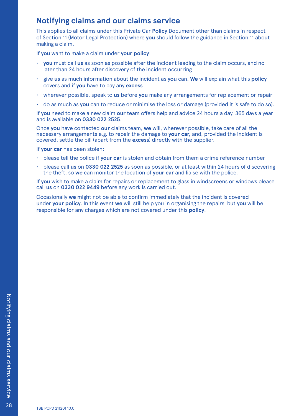# <span id="page-28-0"></span>**Notifying claims and our claims service**

This applies to all claims under this Private Car **Policy** Document other than claims in respect of Section 11 (Motor Legal Protection) where **you** should follow the guidance in Section 11 about making a claim.

If **you** want to make a claim under **your policy**:

- **you** must call **us** as soon as possible after the incident leading to the claim occurs, and no later than 24 hours after discovery of the incident occurring
- give **us** as much information about the incident as **you** can. **We** will explain what this **policy** covers and if **you** have to pay any **excess**
- wherever possible, speak to **us** before **you** make any arrangements for replacement or repair
- do as much as **you** can to reduce or minimise the loss or damage (provided it is safe to do so).

If **you** need to make a new claim **our** team offers help and advice 24 hours a day, 365 days a year and is available on **0330 022 2525**.

Once **you** have contacted **our** claims team, **we** will, wherever possible, take care of all the necessary arrangements e.g. to repair the damage to **your car,** and, provided the incident is covered, settle the bill (apart from the **excess**) directly with the supplier.

If **your car** has been stolen:

- please tell the police if **your car** is stolen and obtain from them a crime reference number
- please call **us** on **0330 022 2525** as soon as possible, or at least within 24 hours of discovering the theft, so **we** can monitor the location of **your car** and liaise with the police.

If **you** wish to make a claim for repairs or replacement to glass in windscreens or windows please call **us** on **0330 022 9449** before any work is carried out.

Occasionally **we** might not be able to confirm immediately that the incident is covered under **your policy**. In this event **we** will still help you in organising the repairs, but **you** will be responsible for any charges which are not covered under this **policy**.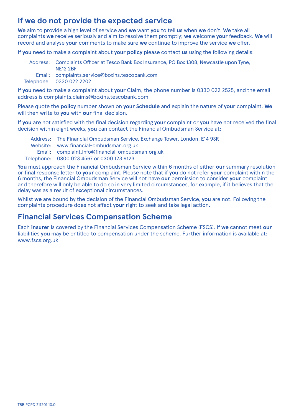# <span id="page-29-0"></span>**If we do not provide the expected service**

**We** aim to provide a high level of service and **we** want **you** to tell **us** when **we** don't. **We** take all complaints **we** receive seriously and aim to resolve them promptly; **we** welcome **your** feedback. **We** will record and analyse **your** comments to make sure **we** continue to improve the service **we** offer.

If **you** need to make a complaint about **your policy** please contact **us** using the following details:

| Address: Complaints Officer at Tesco Bank Box Insurance, PO Box 1308, Newcastle upon Tyne,<br><b>NE12 2BF</b> |
|---------------------------------------------------------------------------------------------------------------|
| Email: complaints.service@boxins.tescobank.com                                                                |
| Telephone: 0330 022 2202                                                                                      |

If **you** need to make a complaint about **your** Claim, the phone number is 0330 022 2525, and the email address is complaints.claims@boxins.tescobank.com

Please quote the **policy** number shown on **your Schedule** and explain the nature of **your** complaint. **We** will then write to **you** with **our** final decision.

If **you** are not satisfied with the final decision regarding **your** complaint or **you** have not received the final decision within eight weeks, **you** can contact the Financial Ombudsman Service at:

Address: The Financial Ombudsman Service, Exchange Tower, London, E14 9SR Website: www.financial-ombudsman.org.uk Email: complaint.info@financial-ombudsman.org.uk Telephone: 0800 023 4567 or 0300 123 9123

**You** must approach the Financial Ombudsman Service within 6 months of either **our** summary resolution or final response letter to **your** complaint. Please note that if **you** do not refer **your** complaint within the 6 months, the Financial Ombudsman Service will not have **our** permission to consider **your** complaint and therefore will only be able to do so in very limited circumstances, for example, if it believes that the delay was as a result of exceptional circumstances.

Whilst **we** are bound by the decision of the Financial Ombudsman Service, **you** are not. Following the complaints procedure does not affect **your** right to seek and take legal action.

# **Financial Services Compensation Scheme**

Each **insurer** is covered by the Financial Services Compensation Scheme (FSCS). If **we** cannot meet **our** liabilities **you** may be entitled to compensation under the scheme. Further information is available at: www.fscs.org.uk